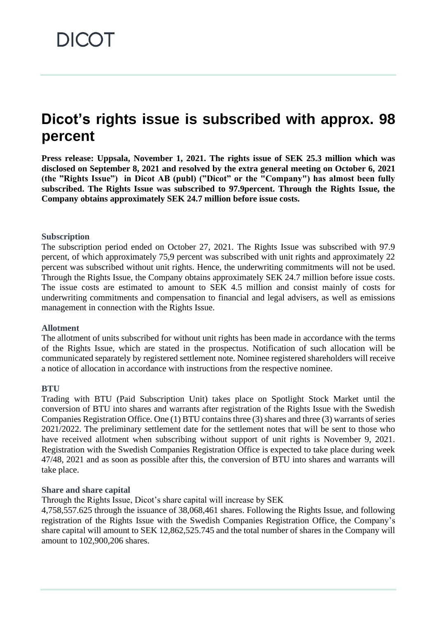# **Dicot's rights issue is subscribed with approx. 98 percent**

**Press release: Uppsala, November 1, 2021. The rights issue of SEK 25.3 million which was disclosed on September 8, 2021 and resolved by the extra general meeting on October 6, 2021 (the "Rights Issue") in Dicot AB (publ) ("Dicot" or the "Company") has almost been fully subscribed. The Rights Issue was subscribed to 97.9percent. Through the Rights Issue, the Company obtains approximately SEK 24.7 million before issue costs.**

#### **Subscription**

The subscription period ended on October 27, 2021. The Rights Issue was subscribed with 97.9 percent, of which approximately 75,9 percent was subscribed with unit rights and approximately 22 percent was subscribed without unit rights. Hence, the underwriting commitments will not be used. Through the Rights Issue, the Company obtains approximately SEK 24.7 million before issue costs. The issue costs are estimated to amount to SEK 4.5 million and consist mainly of costs for underwriting commitments and compensation to financial and legal advisers, as well as emissions management in connection with the Rights Issue.

#### **Allotment**

The allotment of units subscribed for without unit rights has been made in accordance with the terms of the Rights Issue, which are stated in the prospectus. Notification of such allocation will be communicated separately by registered settlement note. Nominee registered shareholders will receive a notice of allocation in accordance with instructions from the respective nominee.

# **BTU**

Trading with BTU (Paid Subscription Unit) takes place on Spotlight Stock Market until the conversion of BTU into shares and warrants after registration of the Rights Issue with the Swedish Companies Registration Office. One (1) BTU contains three (3) shares and three (3) warrants of series 2021/2022. The preliminary settlement date for the settlement notes that will be sent to those who have received allotment when subscribing without support of unit rights is November 9, 2021. Registration with the Swedish Companies Registration Office is expected to take place during week 47/48, 2021 and as soon as possible after this, the conversion of BTU into shares and warrants will take place.

# **Share and share capital**

Through the Rights Issue, Dicot's share capital will increase by SEK

4,758,557.625 through the issuance of 38,068,461 shares. Following the Rights Issue, and following registration of the Rights Issue with the Swedish Companies Registration Office, the Company's share capital will amount to SEK 12,862,525.745 and the total number of shares in the Company will amount to 102,900,206 shares.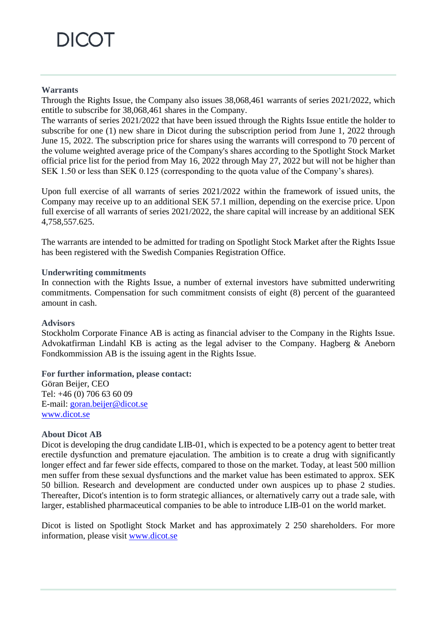# **DICOT**

# **Warrants**

Through the Rights Issue, the Company also issues 38,068,461 warrants of series 2021/2022, which entitle to subscribe for 38,068,461 shares in the Company.

The warrants of series 2021/2022 that have been issued through the Rights Issue entitle the holder to subscribe for one (1) new share in Dicot during the subscription period from June 1, 2022 through June 15, 2022. The subscription price for shares using the warrants will correspond to 70 percent of the volume weighted average price of the Company's shares according to the Spotlight Stock Market official price list for the period from May 16, 2022 through May 27, 2022 but will not be higher than SEK 1.50 or less than SEK 0.125 (corresponding to the quota value of the Company's shares).

Upon full exercise of all warrants of series 2021/2022 within the framework of issued units, the Company may receive up to an additional SEK 57.1 million, depending on the exercise price. Upon full exercise of all warrants of series 2021/2022, the share capital will increase by an additional SEK 4,758,557.625.

The warrants are intended to be admitted for trading on Spotlight Stock Market after the Rights Issue has been registered with the Swedish Companies Registration Office.

## **Underwriting commitments**

In connection with the Rights Issue, a number of external investors have submitted underwriting commitments. Compensation for such commitment consists of eight (8) percent of the guaranteed amount in cash.

#### **Advisors**

Stockholm Corporate Finance AB is acting as financial adviser to the Company in the Rights Issue. Advokatfirman Lindahl KB is acting as the legal adviser to the Company. Hagberg & Aneborn Fondkommission AB is the issuing agent in the Rights Issue.

**For further information, please contact:** Göran Beijer, CEO Tel: +46 (0) 706 63 60 09 E-mail: [goran.beijer@dicot.se](mailto:goran.beijer@dicot.se) [www.dicot.se](http://www.dicot.se/)

#### **About Dicot AB**

Dicot is developing the drug candidate LIB-01, which is expected to be a potency agent to better treat erectile dysfunction and premature ejaculation. The ambition is to create a drug with significantly longer effect and far fewer side effects, compared to those on the market. Today, at least 500 million men suffer from these sexual dysfunctions and the market value has been estimated to approx. SEK 50 billion. Research and development are conducted under own auspices up to phase 2 studies. Thereafter, Dicot's intention is to form strategic alliances, or alternatively carry out a trade sale, with larger, established pharmaceutical companies to be able to introduce LIB-01 on the world market.

Dicot is listed on Spotlight Stock Market and has approximately 2 250 shareholders. For more information, please visit [www.dicot.se](http://www.dicot.se/)